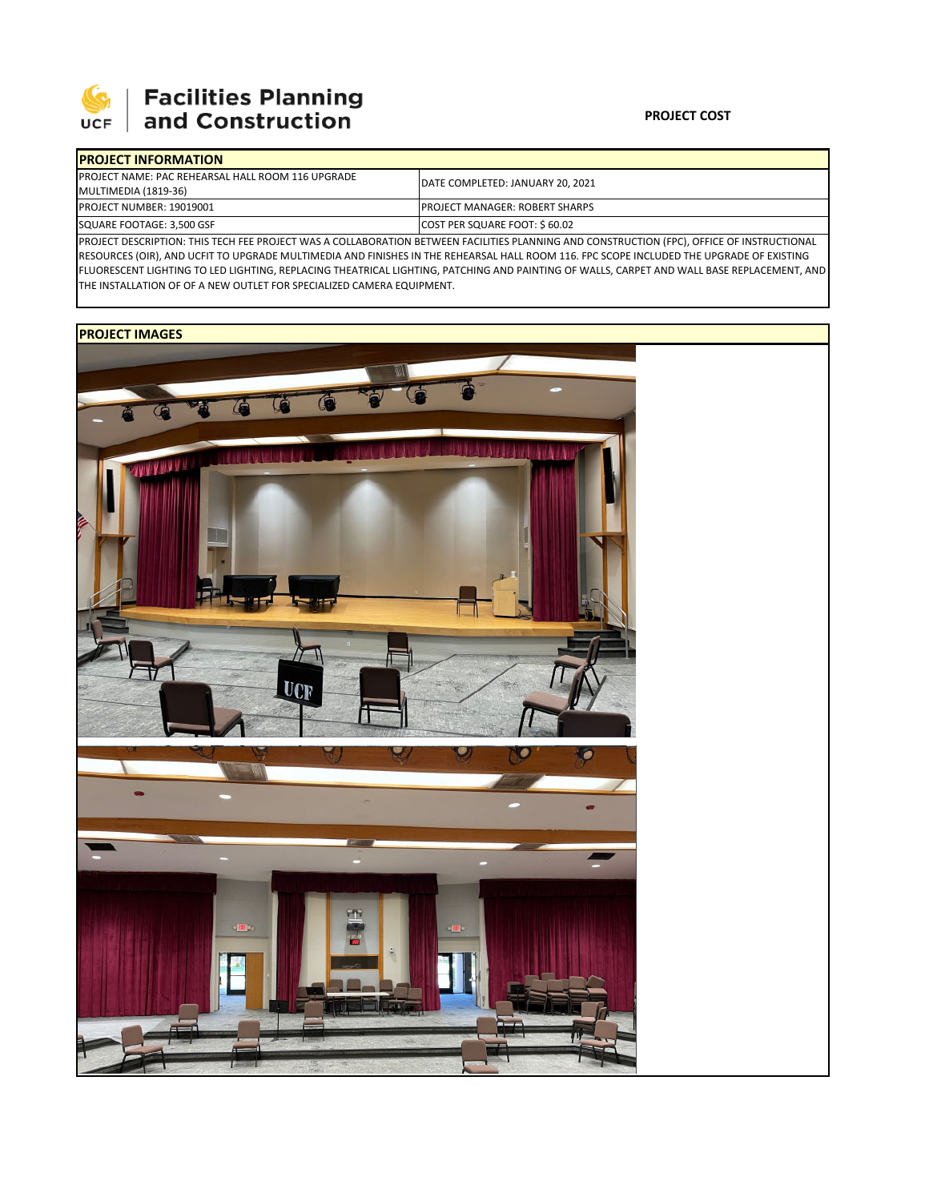

## **PROJECT COST**

| <b>IPROJECT INFORMATION</b>                               |                                        |  |  |  |  |
|-----------------------------------------------------------|----------------------------------------|--|--|--|--|
| <b>IPROJECT NAME: PAC REHEARSAL HALL ROOM 116 UPGRADE</b> | DATE COMPLETED: JANUARY 20, 2021       |  |  |  |  |
| MULTIMEDIA (1819-36)                                      |                                        |  |  |  |  |
| <b>PROJECT NUMBER: 19019001</b>                           | <b>IPROJECT MANAGER: ROBERT SHARPS</b> |  |  |  |  |
| SQUARE FOOTAGE: 3,500 GSF                                 | COST PER SQUARE FOOT: \$60.02          |  |  |  |  |
|                                                           |                                        |  |  |  |  |

PROJECT DESCRIPTION: THIS TECH FEE PROJECT WAS A COLLABORATION BETWEEN FACILITIES PLANNING AND CONSTRUCTION (FPC), OFFICE OF INSTRUCTIONAL RESOURCES (OIR), AND UCFIT TO UPGRADE MULTIMEDIA AND FINISHES IN THE REHEARSAL HALL ROOM 116. FPC SCOPE INCLUDED THE UPGRADE OF EXISTING FLUORESCENT LIGHTING TO LED LIGHTING, REPLACING THEATRICAL LIGHTING, PATCHING AND PAINTING OF WALLS, CARPET AND WALL BASE REPLACEMENT, AND THE INSTALLATION OF OF A NEW OUTLET FOR SPECIALIZED CAMERA EQUIPMENT.

## **PROJECT IMAGES**